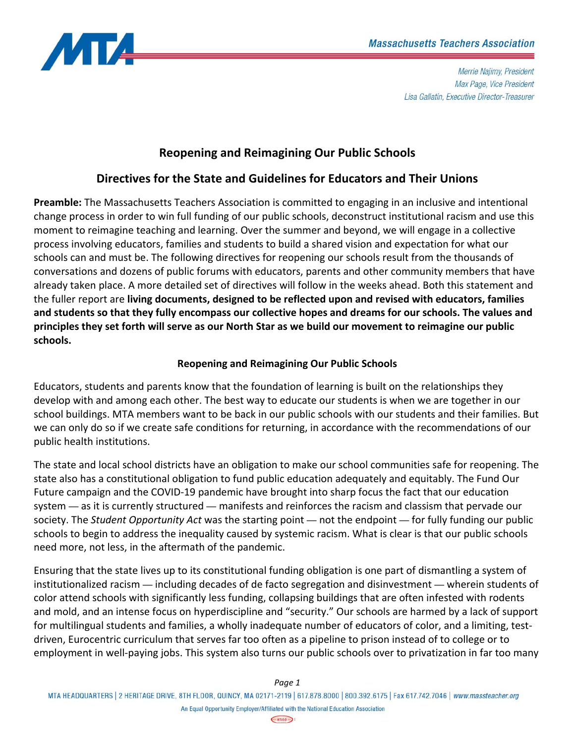

# **Reopening and Reimagining Our Public Schools**

## **Directives for the State and Guidelines for Educators and Their Unions**

**Preamble:** The Massachusetts Teachers Association is committed to engaging in an inclusive and intentional change process in order to win full funding of our public schools, deconstruct institutional racism and use this moment to reimagine teaching and learning. Over the summer and beyond, we will engage in a collective process involving educators, families and students to build a shared vision and expectation for what our schools can and must be. The following directives for reopening our schools result from the thousands of conversations and dozens of public forums with educators, parents and other community members that have already taken place. A more detailed set of directives will follow in the weeks ahead. Both this statement and the fuller report are **living documents, designed to be reflected upon and revised with educators, families and students so that they fully encompass our collective hopes and dreams for our schools. The values and principles they set forth will serve as our North Star as we build our movement to reimagine our public schools.**

### **Reopening and Reimagining Our Public Schools**

Educators, students and parents know that the foundation of learning is built on the relationships they develop with and among each other. The best way to educate our students is when we are together in our school buildings. MTA members want to be back in our public schools with our students and their families. But we can only do so if we create safe conditions for returning, in accordance with the recommendations of our public health institutions.

The state and local school districts have an obligation to make our school communities safe for reopening. The state also has a constitutional obligation to fund public education adequately and equitably. The Fund Our Future campaign and the COVID‐19 pandemic have brought into sharp focus the fact that our education system — as it is currently structured — manifests and reinforces the racism and classism that pervade our society. The *Student Opportunity Act* was the starting point — not the endpoint — for fully funding our public schools to begin to address the inequality caused by systemic racism. What is clear is that our public schools need more, not less, in the aftermath of the pandemic.

Ensuring that the state lives up to its constitutional funding obligation is one part of dismantling a system of institutionalized racism — including decades of de facto segregation and disinvestment — wherein students of color attend schools with significantly less funding, collapsing buildings that are often infested with rodents and mold, and an intense focus on hyperdiscipline and "security." Our schools are harmed by a lack of support for multilingual students and families, a wholly inadequate number of educators of color, and a limiting, testdriven, Eurocentric curriculum that serves far too often as a pipeline to prison instead of to college or to employment in well‐paying jobs. This system also turns our public schools over to privatization in far too many

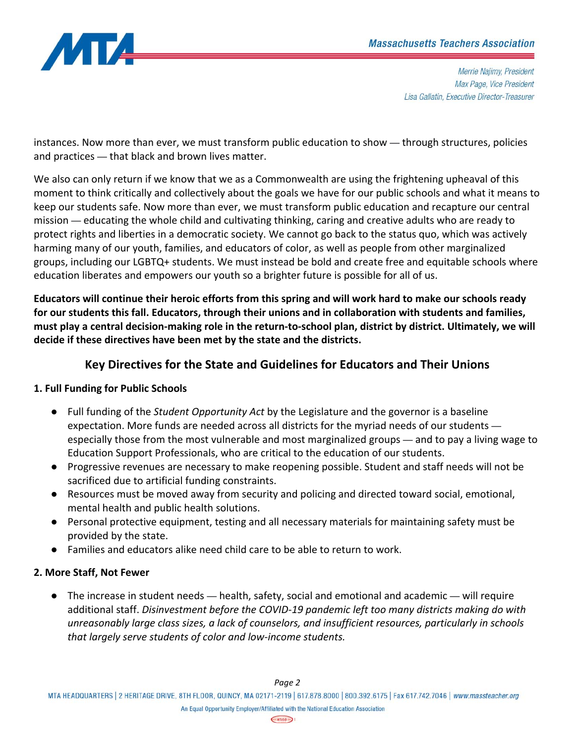

instances. Now more than ever, we must transform public education to show — through structures, policies and practices — that black and brown lives matter.

We also can only return if we know that we as a Commonwealth are using the frightening upheaval of this moment to think critically and collectively about the goals we have for our public schools and what it means to keep our students safe. Now more than ever, we must transform public education and recapture our central mission — educating the whole child and cultivating thinking, caring and creative adults who are ready to protect rights and liberties in a democratic society. We cannot go back to the status quo, which was actively harming many of our youth, families, and educators of color, as well as people from other marginalized groups, including our LGBTQ+ students. We must instead be bold and create free and equitable schools where education liberates and empowers our youth so a brighter future is possible for all of us.

**Educators will continue their heroic efforts from this spring and will work hard to make our schools ready for our students this fall. Educators, through their unions and in collaboration with students and families, must play a central decision‐making role in the return‐to‐school plan, district by district. Ultimately, we will decide if these directives have been met by the state and the districts.** 

# **Key Directives for the State and Guidelines for Educators and Their Unions**

## **1. Full Funding for Public Schools**

- Full funding of the *Student Opportunity Act* by the Legislature and the governor is a baseline expectation. More funds are needed across all districts for the myriad needs of our students especially those from the most vulnerable and most marginalized groups — and to pay a living wage to Education Support Professionals, who are critical to the education of our students.
- Progressive revenues are necessary to make reopening possible. Student and staff needs will not be sacrificed due to artificial funding constraints.
- Resources must be moved away from security and policing and directed toward social, emotional, mental health and public health solutions.
- Personal protective equipment, testing and all necessary materials for maintaining safety must be provided by the state.
- Families and educators alike need child care to be able to return to work.

## **2. More Staff, Not Fewer**

● The increase in student needs — health, safety, social and emotional and academic — will require additional staff. *Disinvestment before the COVID‐19 pandemic left too many districts making do with unreasonably large class sizes, a lack of counselors, and insufficient resources, particularly in schools that largely serve students of color and low‐income students.*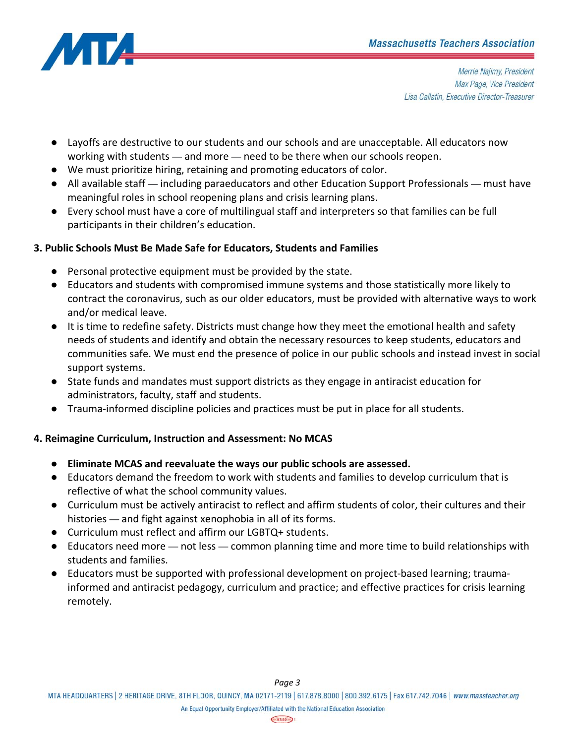

- Layoffs are destructive to our students and our schools and are unacceptable. All educators now working with students — and more — need to be there when our schools reopen.
- We must prioritize hiring, retaining and promoting educators of color.
- All available staff including paraeducators and other Education Support Professionals must have meaningful roles in school reopening plans and crisis learning plans.
- Every school must have a core of multilingual staff and interpreters so that families can be full participants in their children's education.

#### **3. Public Schools Must Be Made Safe for Educators, Students and Families**

- Personal protective equipment must be provided by the state.
- Educators and students with compromised immune systems and those statistically more likely to contract the coronavirus, such as our older educators, must be provided with alternative ways to work and/or medical leave.
- It is time to redefine safety. Districts must change how they meet the emotional health and safety needs of students and identify and obtain the necessary resources to keep students, educators and communities safe. We must end the presence of police in our public schools and instead invest in social support systems.
- State funds and mandates must support districts as they engage in antiracist education for administrators, faculty, staff and students.
- Trauma-informed discipline policies and practices must be put in place for all students.

#### **4. Reimagine Curriculum, Instruction and Assessment: No MCAS**

- **Eliminate MCAS and reevaluate the ways our public schools are assessed.**
- Educators demand the freedom to work with students and families to develop curriculum that is reflective of what the school community values.
- Curriculum must be actively antiracist to reflect and affirm students of color, their cultures and their histories — and fight against xenophobia in all of its forms.
- Curriculum must reflect and affirm our LGBTQ+ students.
- Educators need more not less common planning time and more time to build relationships with students and families.
- Educators must be supported with professional development on project-based learning; traumainformed and antiracist pedagogy, curriculum and practice; and effective practices for crisis learning remotely.